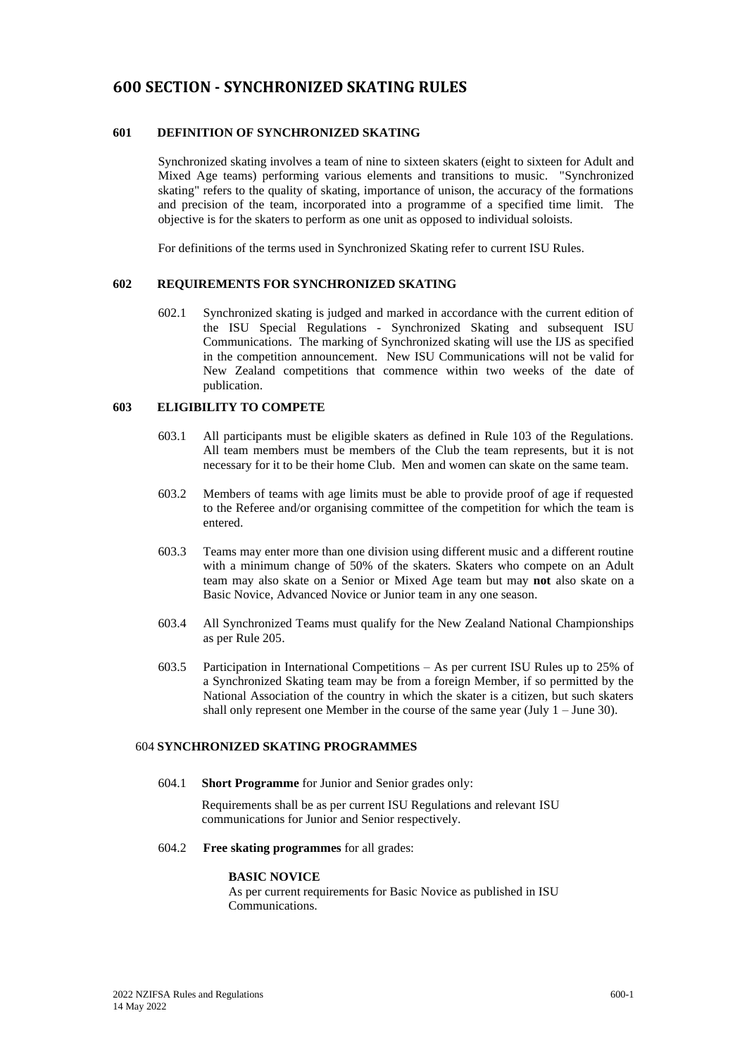# **600 SECTION - SYNCHRONIZED SKATING RULES**

# **601 DEFINITION OF SYNCHRONIZED SKATING**

Synchronized skating involves a team of nine to sixteen skaters (eight to sixteen for Adult and Mixed Age teams) performing various elements and transitions to music. "Synchronized skating" refers to the quality of skating, importance of unison, the accuracy of the formations and precision of the team, incorporated into a programme of a specified time limit. The objective is for the skaters to perform as one unit as opposed to individual soloists.

For definitions of the terms used in Synchronized Skating refer to current ISU Rules.

### **602 REQUIREMENTS FOR SYNCHRONIZED SKATING**

602.1 Synchronized skating is judged and marked in accordance with the current edition of the ISU Special Regulations - Synchronized Skating and subsequent ISU Communications. The marking of Synchronized skating will use the IJS as specified in the competition announcement. New ISU Communications will not be valid for New Zealand competitions that commence within two weeks of the date of publication.

### **603 ELIGIBILITY TO COMPETE**

- 603.1 All participants must be eligible skaters as defined in Rule 103 of the Regulations. All team members must be members of the Club the team represents, but it is not necessary for it to be their home Club. Men and women can skate on the same team.
- 603.2 Members of teams with age limits must be able to provide proof of age if requested to the Referee and/or organising committee of the competition for which the team is entered.
- 603.3 Teams may enter more than one division using different music and a different routine with a minimum change of 50% of the skaters. Skaters who compete on an Adult team may also skate on a Senior or Mixed Age team but may **not** also skate on a Basic Novice, Advanced Novice or Junior team in any one season.
- 603.4 All Synchronized Teams must qualify for the New Zealand National Championships as per Rule 205.
- 603.5 Participation in International Competitions As per current ISU Rules up to 25% of a Synchronized Skating team may be from a foreign Member, if so permitted by the National Association of the country in which the skater is a citizen, but such skaters shall only represent one Member in the course of the same year (July  $1 -$  June 30).

# 604 **SYNCHRONIZED SKATING PROGRAMMES**

604.1 **Short Programme** for Junior and Senior grades only:

Requirements shall be as per current ISU Regulations and relevant ISU communications for Junior and Senior respectively.

604.2 **Free skating programmes** for all grades:

#### **BASIC NOVICE**

As per current requirements for Basic Novice as published in ISU Communications.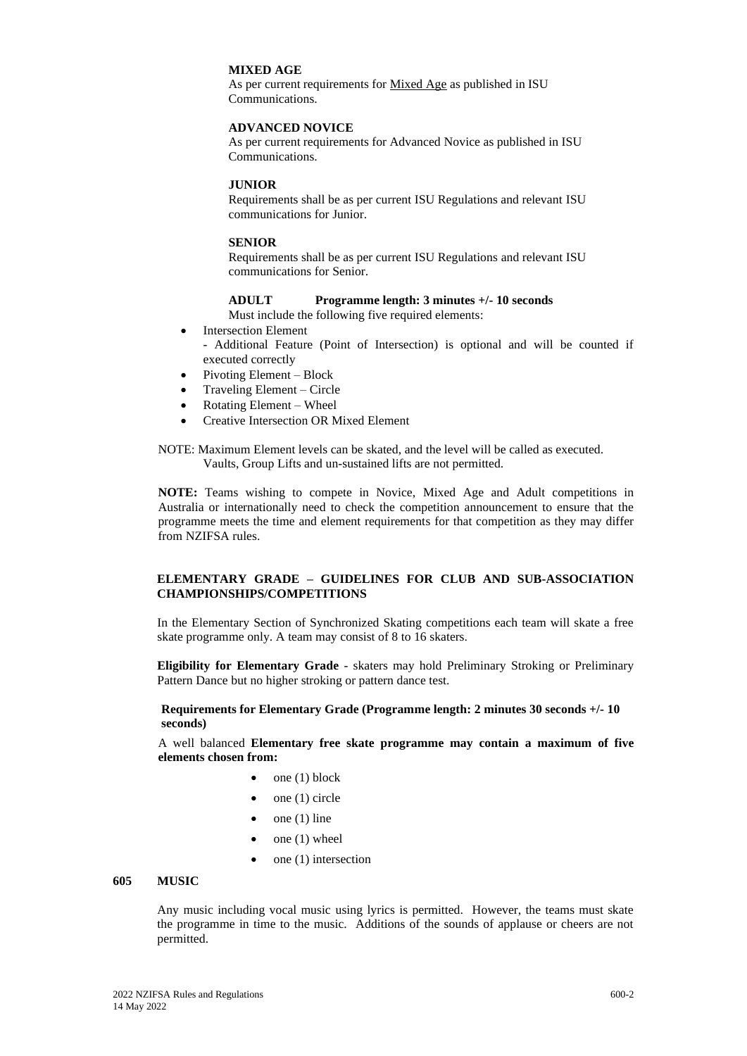#### **MIXED AGE**

As per current requirements for Mixed Age as published in ISU Communications.

### **ADVANCED NOVICE**

As per current requirements for Advanced Novice as published in ISU Communications.

### **JUNIOR**

Requirements shall be as per current ISU Regulations and relevant ISU communications for Junior.

### **SENIOR**

Requirements shall be as per current ISU Regulations and relevant ISU communications for Senior.

### **ADULT Programme length: 3 minutes +/- 10 seconds**

Must include the following five required elements:

- **Intersection Element** 
	- Additional Feature (Point of Intersection) is optional and will be counted if executed correctly
- Pivoting Element Block
- Traveling Element Circle
- Rotating Element Wheel
- Creative Intersection OR Mixed Element

NOTE: Maximum Element levels can be skated, and the level will be called as executed. Vaults, Group Lifts and un-sustained lifts are not permitted.

**NOTE:** Teams wishing to compete in Novice, Mixed Age and Adult competitions in Australia or internationally need to check the competition announcement to ensure that the programme meets the time and element requirements for that competition as they may differ from NZIFSA rules.

# **ELEMENTARY GRADE – GUIDELINES FOR CLUB AND SUB-ASSOCIATION CHAMPIONSHIPS/COMPETITIONS**

In the Elementary Section of Synchronized Skating competitions each team will skate a free skate programme only. A team may consist of 8 to 16 skaters.

**Eligibility for Elementary Grade** - skaters may hold Preliminary Stroking or Preliminary Pattern Dance but no higher stroking or pattern dance test.

**Requirements for Elementary Grade (Programme length: 2 minutes 30 seconds +/- 10 seconds)**

A well balanced **Elementary free skate programme may contain a maximum of five elements chosen from:**

- $\bullet$  one (1) block
- $\bullet$  one (1) circle
- $\bullet$  one (1) line
- $\bullet$  one (1) wheel
- one (1) intersection

#### **605 MUSIC**

Any music including vocal music using lyrics is permitted. However, the teams must skate the programme in time to the music. Additions of the sounds of applause or cheers are not permitted.